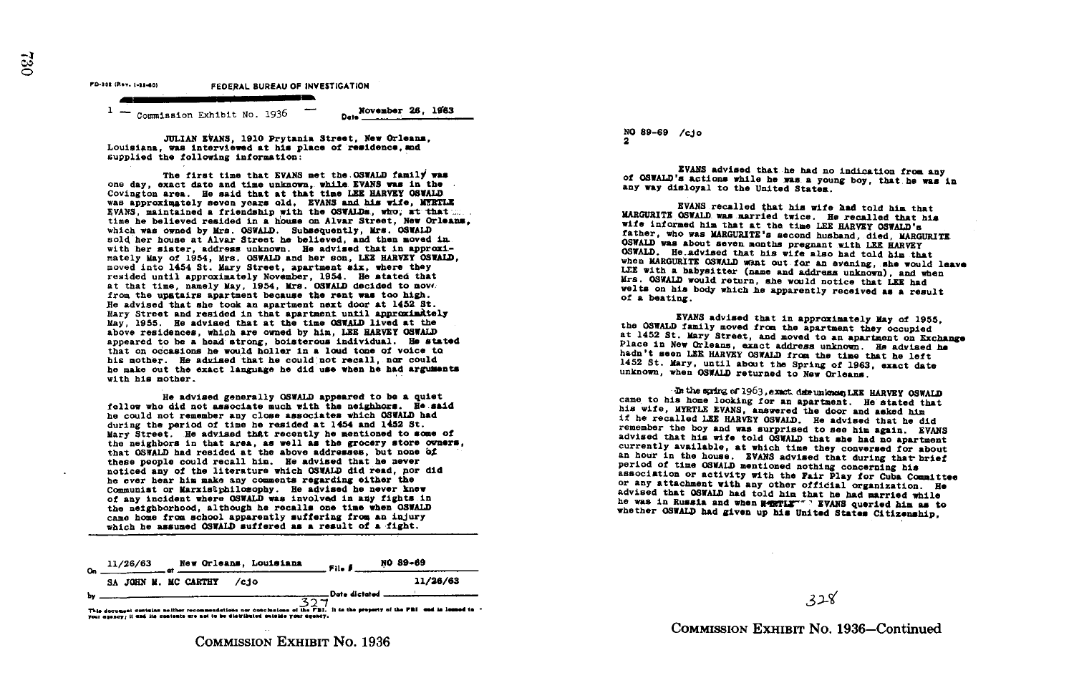FEDERAL BUREAU OF INVESTIGATION

Commission Exhibit No. 1936

Do. November 26, 16163

JULIAN EVANS, 1910 Prytania Street, Now Orleans, Louisiana, was interviewed at his place of residence, and supplied the following information :

The first time that EVANS met the OSWALD family was one day, exact date and time unknown, while EVANS was in the Covington area . He said that at that time ISE HARVEY OSWALD was approximately seven years old. EVANS and his wife, MYRTLE EVANS, maintained a friendship with the OSWALDs, who, at that  $\ldots$ time he believed resided in a house on Alvar Street. New Orleans. which was owned by Mrs. OSWALD. Subsequently, Mrs. OSWALD sold her house at Alvar Street he believed, and then moved in with her sister, address unknown. He advised that in approximately May of 1954, Mrs. OSWALD and her son, LEE HARVEY OSWALD. moved into 1454 St. Mary Street, apartment six, where they resided until approximately November, 1954 . He stated that at that time, namely May, 1954, Mrs . OSWAID decided to movt, from the upstairs apartment because the rent was too high. Ne advised that she took an apartment next door at 1451 St . Mary Street and resided in that apartment until approximately May, 1955 . He advised that at the time OSWALD lived at the above residence&, which are owned by him, LEE HARVEY OSWALD appeared to he a head strong, boisterous individual. He stated that on occasions he would holler in a loud tone of voice to his mother. He advised that he could not recall, nor could he make out the exact language he did use when he had arguments with his mother .

He advised generally OSWALD appeared to be a quiet fellow who did not associate much with the neighhors. He said he could not remember any close associates which OSWALD had during the period of time he resided at 1454 and 1452 St. Mary Street. He advised that recently he mentioned to some of the neighbors in that area, as well as the grocery store owners, that OSWALD had resided at the above addresses, but none of these people could recall him. He advised that he never noticed any of the literature which OSWALD did read, nor did noticed any of the literature which OSWALD did read, nor did<br>he ever hear him make any comments regarding either the<br>Occupation of the state of the southern heart Communist or Marxistphilosophy. He advised he never knew of any incident where OSWALD was involved in any fights in of any incident where OSWALD was involved in any fights in<br>the neighborhood, although he recalls one time when OSWALD<br>when the record of the record of the second in the second in the second in the second in the second in t came home from school apparently suffering frog an injury which be assumed OSWALD suffered as a result of a fight .

 $\sim$ by 11/26/63 the neighborhood, although he recalls one that when CSWALD<br>cane home from school apparently suffering from an injury<br>mich he assumed OSWAD suffered as a result of a fight.<br> $\frac{11}{26}/63$ <br> $\frac{11}{26}/63$ <br> $\frac{11}{26}/63$ <br> $\frac{11}{$ New Orleans, Louisians  $\frac{1}{\sqrt{\frac{1}{2}}\sqrt{\frac{1}{1-\frac{1}{1-\frac{1}{1-\frac{1}{1-\frac{1}{1-\frac{1}{1-\frac{1}{1-\frac{1}{1-\frac{1}{1-\frac{1}{1-\frac{1}{1-\frac{1}{1-\frac{1}{1-\frac{1}{1-\frac{1}{1-\frac{1}{1-\frac{1}{1-\frac{1}{1-\frac{1}{1-\frac{1}{1-\frac{1}{1-\frac{1}{1-\frac{1}{1-\frac{1}{1-\frac{1}{1-\frac{1}{1-\frac{1}{1-\frac{1}{1-\frac{1}{1-\frac{1}{1-\frac{1}{1-\frac{1}{1-\frac{1}{1-\frac{1}{1$ NO 89-69 SA JOHN M. MC CARTHY /cjo 11/26/63 NO 89-69 /cjo 2

EVANS advised that he had no indication from any<br>of OSWALD's actions while he was a young boy, that he was in<br>any way disloyal to the United States.

EVANS recalled that his wife had told him that MARGURITE OSWALD was married twice. He recalled that his wife informed him that at the time LEE HARVEY OSWALD's father, who was MARGURITE's second husband, died, MARGURITE OSWALD was about seven months pregnant with LEE HARVEY OSWALD. He advised that his wife also had told him that LEE with a babysitter (name and address unknown), a welts on his body which he apparently received as a result of a beating.

EVANS advised that in approximately May of 1955, the OSWALD family moved from the apartment they occupied<br>at 1452 St. Mary Street, and moved to an apartment on Exchange<br>Place in New Orleans, exact address unknown. He advis 1452 St. Mary, until about the Spring of 1963, exact date unknown, when OSWALD returned to New Orleans.

. In the spirg of 1963,exact decumioned LEE HARVEY OSWALD came to his home looking for an apartment. He stated that his wife, MYRTLE EVANS, answered the door and asked him if he recalled LEE HARVEY OSWALD. He advised that he did remember the boy and was surprised to see him again. EVANS advised that his wife told OSWALD that she had no apartment currently available, at which the they convers period of time OSWALD mentioned nothing concerning his<br>association or activity with the Fair Play for Cuba Committee<br>or any attachment with any other official organization. He<br>advised that OSWALD had told him that he had m

,3 .)~

COMMISSION EXHIBrr No. 1936-Continued

 $33$ 

COMMISSION ExHIBIT No. 1936